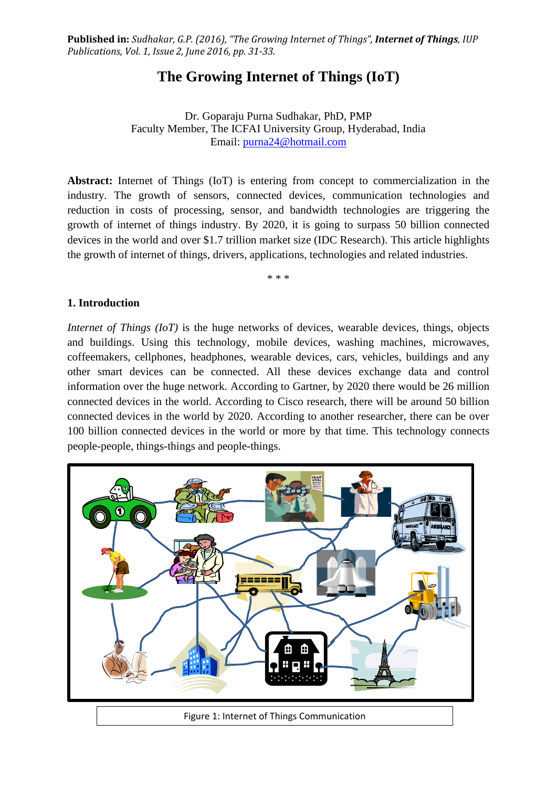**Published in:** *Sudhakar, G.P. (2016), "The Growing Internet of Things", Internet of Things, IUP Publications, Vol. 1, Issue 2, June 2016, pp. 31-33.*

# **The Growing Internet of Things (IoT)**

Dr. Goparaju Purna Sudhakar, PhD, PMP Faculty Member, The ICFAI University Group, Hyderabad, India Email: [purna24@hotmail.com](mailto:purna24@hotmail.com)

**Abstract:** Internet of Things (IoT) is entering from concept to commercialization in the industry. The growth of sensors, connected devices, communication technologies and reduction in costs of processing, sensor, and bandwidth technologies are triggering the growth of internet of things industry. By 2020, it is going to surpass 50 billion connected devices in the world and over \$1.7 trillion market size (IDC Research). This article highlights the growth of internet of things, drivers, applications, technologies and related industries.

\* \* \*

#### **1. Introduction**

*Internet of Things (IoT)* is the huge networks of devices, wearable devices, things, objects and buildings. Using this technology, mobile devices, washing machines, microwaves, coffeemakers, cellphones, headphones, wearable devices, cars, vehicles, buildings and any other smart devices can be connected. All these devices exchange data and control information over the huge network. According to Gartner, by 2020 there would be 26 million connected devices in the world. According to Cisco research, there will be around 50 billion connected devices in the world by 2020. According to another researcher, there can be over 100 billion connected devices in the world or more by that time. This technology connects people-people, things-things and people-things.

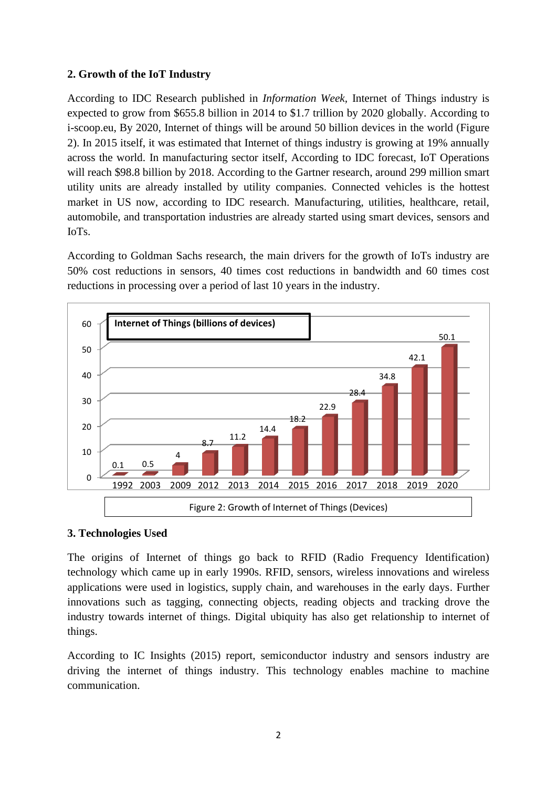## **2. Growth of the IoT Industry**

According to IDC Research published in *Information Week,* Internet of Things industry is expected to grow from \$655.8 billion in 2014 to \$1.7 trillion by 2020 globally. According to i-scoop.eu, By 2020, Internet of things will be around 50 billion devices in the world (Figure 2). In 2015 itself, it was estimated that Internet of things industry is growing at 19% annually across the world. In manufacturing sector itself, According to IDC forecast, IoT Operations will reach \$98.8 billion by 2018. According to the Gartner research, around 299 million smart utility units are already installed by utility companies. Connected vehicles is the hottest market in US now, according to IDC research. Manufacturing, utilities, healthcare, retail, automobile, and transportation industries are already started using smart devices, sensors and IoTs.

According to Goldman Sachs research, the main drivers for the growth of IoTs industry are 50% cost reductions in sensors, 40 times cost reductions in bandwidth and 60 times cost reductions in processing over a period of last 10 years in the industry.



### **3. Technologies Used**

The origins of Internet of things go back to RFID (Radio Frequency Identification) technology which came up in early 1990s. RFID, sensors, wireless innovations and wireless applications were used in logistics, supply chain, and warehouses in the early days. Further innovations such as tagging, connecting objects, reading objects and tracking drove the industry towards internet of things. Digital ubiquity has also get relationship to internet of things.

According to IC Insights (2015) report, semiconductor industry and sensors industry are driving the internet of things industry. This technology enables machine to machine communication.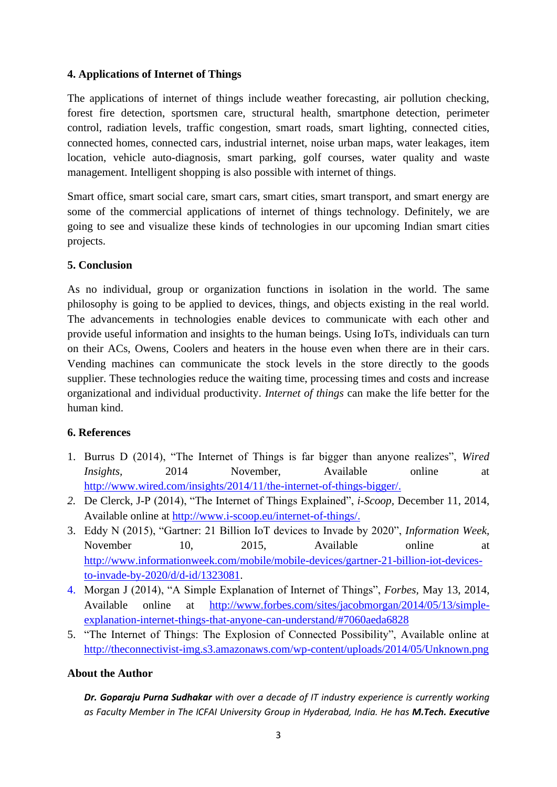### **4. Applications of Internet of Things**

The applications of internet of things include weather forecasting, air pollution checking, forest fire detection, sportsmen care, structural health, smartphone detection, perimeter control, radiation levels, traffic congestion, smart roads, smart lighting, connected cities, connected homes, connected cars, industrial internet, noise urban maps, water leakages, item location, vehicle auto-diagnosis, smart parking, golf courses, water quality and waste management. Intelligent shopping is also possible with internet of things.

Smart office, smart social care, smart cars, smart cities, smart transport, and smart energy are some of the commercial applications of internet of things technology. Definitely, we are going to see and visualize these kinds of technologies in our upcoming Indian smart cities projects.

## **5. Conclusion**

As no individual, group or organization functions in isolation in the world. The same philosophy is going to be applied to devices, things, and objects existing in the real world. The advancements in technologies enable devices to communicate with each other and provide useful information and insights to the human beings. Using IoTs, individuals can turn on their ACs, Owens, Coolers and heaters in the house even when there are in their cars. Vending machines can communicate the stock levels in the store directly to the goods supplier. These technologies reduce the waiting time, processing times and costs and increase organizational and individual productivity. *Internet of things* can make the life better for the human kind.

### **6. References**

- 1. Burrus D (2014), "The Internet of Things is far bigger than anyone realizes", *Wired Insights,* 2014 November, Available online at [http://www.wired.com/insights/2014/11/the-internet-of-things-bigger/.](http://www.wired.com/insights/2014/11/the-internet-of-things-bigger/)
- *2.* De Clerck, J-P (2014), "The Internet of Things Explained", *i-Scoop,* December 11, 2014, Available online at [http://www.i-scoop.eu/internet-of-things/.](http://www.i-scoop.eu/internet-of-things/)
- 3. Eddy N (2015), "Gartner: 21 Billion IoT devices to Invade by 2020", *Information Week,*  November 10, 2015, Available online at [http://www.informationweek.com/mobile/mobile-devices/gartner-21-billion-iot-devices](http://www.informationweek.com/mobile/mobile-devices/gartner-21-billion-iot-devices-to-invade-by-2020/d/d-id/1323081)[to-invade-by-2020/d/d-id/1323081.](http://www.informationweek.com/mobile/mobile-devices/gartner-21-billion-iot-devices-to-invade-by-2020/d/d-id/1323081)
- 4. Morgan J (2014), "A Simple Explanation of Internet of Things", *Forbes,* May 13, 2014, Available online at [http://www.forbes.com/sites/jacobmorgan/2014/05/13/simple](http://www.forbes.com/sites/jacobmorgan/2014/05/13/simple-explanation-internet-things-that-anyone-can-understand/#7060aeda6828)[explanation-internet-things-that-anyone-can-understand/#7060aeda6828](http://www.forbes.com/sites/jacobmorgan/2014/05/13/simple-explanation-internet-things-that-anyone-can-understand/#7060aeda6828)
- 5. "The Internet of Things: The Explosion of Connected Possibility", Available online at <http://theconnectivist-img.s3.amazonaws.com/wp-content/uploads/2014/05/Unknown.png>

### **About the Author**

*Dr. Goparaju Purna Sudhakar with over a decade of IT industry experience is currently working as Faculty Member in The ICFAI University Group in Hyderabad, India. He has M.Tech. Executive*